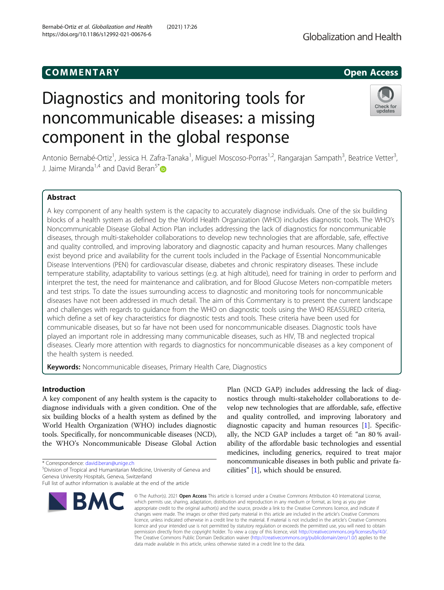# COMM EN TARY Open Access

# Diagnostics and monitoring tools for noncommunicable diseases: a missing component in the global response



Antonio Bernabé-Ortiz<sup>1</sup>, Jessica H. Zafra-Tanaka<sup>1</sup>, Miguel Moscoso-Porras<sup>1,2</sup>, Rangarajan Sampath<sup>3</sup>, Beatrice Vetter<sup>3</sup> , J. Jaime Miranda<sup>1,4</sup> and David Beran<sup>5[\\*](http://orcid.org/0000-0001-7229-3920)</sup>

# Abstract

A key component of any health system is the capacity to accurately diagnose individuals. One of the six building blocks of a health system as defined by the World Health Organization (WHO) includes diagnostic tools. The WHO's Noncommunicable Disease Global Action Plan includes addressing the lack of diagnostics for noncommunicable diseases, through multi-stakeholder collaborations to develop new technologies that are affordable, safe, effective and quality controlled, and improving laboratory and diagnostic capacity and human resources. Many challenges exist beyond price and availability for the current tools included in the Package of Essential Noncommunicable Disease Interventions (PEN) for cardiovascular disease, diabetes and chronic respiratory diseases. These include temperature stability, adaptability to various settings (e.g. at high altitude), need for training in order to perform and interpret the test, the need for maintenance and calibration, and for Blood Glucose Meters non-compatible meters and test strips. To date the issues surrounding access to diagnostic and monitoring tools for noncommunicable diseases have not been addressed in much detail. The aim of this Commentary is to present the current landscape and challenges with regards to guidance from the WHO on diagnostic tools using the WHO REASSURED criteria, which define a set of key characteristics for diagnostic tests and tools. These criteria have been used for communicable diseases, but so far have not been used for noncommunicable diseases. Diagnostic tools have played an important role in addressing many communicable diseases, such as HIV, TB and neglected tropical diseases. Clearly more attention with regards to diagnostics for noncommunicable diseases as a key component of the health system is needed.

Keywords: Noncommunicable diseases, Primary Health Care, Diagnostics

# Introduction

A key component of any health system is the capacity to diagnose individuals with a given condition. One of the six building blocks of a health system as defined by the World Health Organization (WHO) includes diagnostic tools. Specifically, for noncommunicable diseases (NCD), the WHO's Noncommunicable Disease Global Action

\* Correspondence: [david.beran@unige.ch](mailto:david.beran@unige.ch) <sup>5</sup>

Division of Tropical and Humanitarian Medicine, University of Geneva and Geneva University Hospitals, Geneva, Switzerland

Full list of author information is available at the end of the article



Plan (NCD GAP) includes addressing the lack of diagnostics through multi-stakeholder collaborations to develop new technologies that are affordable, safe, effective and quality controlled, and improving laboratory and diagnostic capacity and human resources [[1](#page-3-0)]. Specifically, the NCD GAP includes a target of: "an 80 % availability of the affordable basic technologies and essential medicines, including generics, required to treat major noncommunicable diseases in both public and private facilities" [\[1](#page-3-0)], which should be ensured.

© The Author(s), 2021 **Open Access** This article is licensed under a Creative Commons Attribution 4.0 International License, which permits use, sharing, adaptation, distribution and reproduction in any medium or format, as long as you give appropriate credit to the original author(s) and the source, provide a link to the Creative Commons licence, and indicate if changes were made. The images or other third party material in this article are included in the article's Creative Commons licence, unless indicated otherwise in a credit line to the material. If material is not included in the article's Creative Commons licence and your intended use is not permitted by statutory regulation or exceeds the permitted use, you will need to obtain permission directly from the copyright holder. To view a copy of this licence, visit [http://creativecommons.org/licenses/by/4.0/.](http://creativecommons.org/licenses/by/4.0/) The Creative Commons Public Domain Dedication waiver [\(http://creativecommons.org/publicdomain/zero/1.0/](http://creativecommons.org/publicdomain/zero/1.0/)) applies to the data made available in this article, unless otherwise stated in a credit line to the data.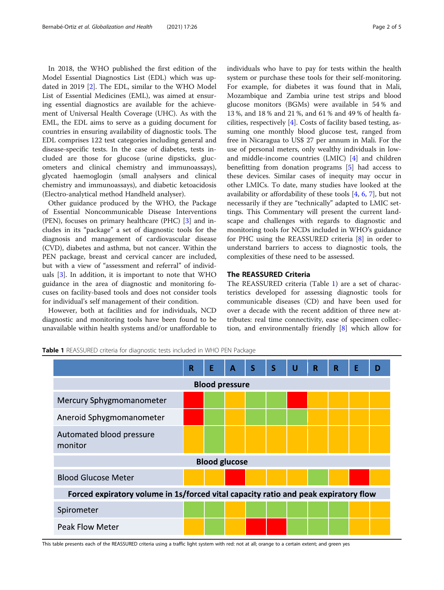<span id="page-1-0"></span>In 2018, the WHO published the first edition of the Model Essential Diagnostics List (EDL) which was updated in 2019 [[2\]](#page-3-0). The EDL, similar to the WHO Model List of Essential Medicines (EML), was aimed at ensuring essential diagnostics are available for the achievement of Universal Health Coverage (UHC). As with the EML, the EDL aims to serve as a guiding document for countries in ensuring availability of diagnostic tools. The EDL comprises 122 test categories including general and disease-specific tests. In the case of diabetes, tests included are those for glucose (urine dipsticks, glucometers and clinical chemistry and immunoassays), glycated haemoglogin (small analysers and clinical chemistry and immunoassays), and diabetic ketoacidosis (Electro-analytical method Handheld analyser).

Other guidance produced by the WHO, the Package of Essential Noncommunicable Disease Interventions (PEN), focuses on primary healthcare (PHC) [[3\]](#page-3-0) and includes in its "package" a set of diagnostic tools for the diagnosis and management of cardiovascular disease (CVD), diabetes and asthma, but not cancer. Within the PEN package, breast and cervical cancer are included, but with a view of "assessment and referral" of individuals [[3\]](#page-3-0). In addition, it is important to note that WHO guidance in the area of diagnostic and monitoring focuses on facility-based tools and does not consider tools for individual's self management of their condition.

However, both at facilities and for individuals, NCD diagnostic and monitoring tools have been found to be unavailable within health systems and/or unaffordable to individuals who have to pay for tests within the health system or purchase these tools for their self-monitoring. For example, for diabetes it was found that in Mali, Mozambique and Zambia urine test strips and blood glucose monitors (BGMs) were available in 54 % and 13 %, and 18 % and 21 %, and 61 % and 49 % of health facilities, respectively [\[4](#page-3-0)]. Costs of facility based testing, assuming one monthly blood glucose test, ranged from free in Nicaragua to US\$ 27 per annum in Mali. For the use of personal meters, only wealthy individuals in lowand middle-income countries (LMIC) [\[4](#page-3-0)] and children benefitting from donation programs [[5\]](#page-3-0) had access to these devices. Similar cases of inequity may occur in other LMICs. To date, many studies have looked at the availability or affordability of these tools  $[4, 6, 7]$  $[4, 6, 7]$  $[4, 6, 7]$  $[4, 6, 7]$  $[4, 6, 7]$  $[4, 6, 7]$ , but not necessarily if they are "technically" adapted to LMIC settings. This Commentary will present the current landscape and challenges with regards to diagnostic and monitoring tools for NCDs included in WHO's guidance for PHC using the REASSURED criteria [[8](#page-3-0)] in order to understand barriers to access to diagnostic tools, the complexities of these need to be assessed.

# The REASSURED Criteria

The REASSURED criteria (Table 1) are a set of characteristics developed for assessing diagnostic tools for communicable diseases (CD) and have been used for over a decade with the recent addition of three new attributes: real time connectivity, ease of specimen collection, and environmentally friendly [\[8](#page-3-0)] which allow for

Table 1 REASSURED criteria for diagnostic tests included in WHO PEN Package



This table presents each of the REASSURED criteria using a traffic light system with red: not at all; orange to a certain extent; and green yes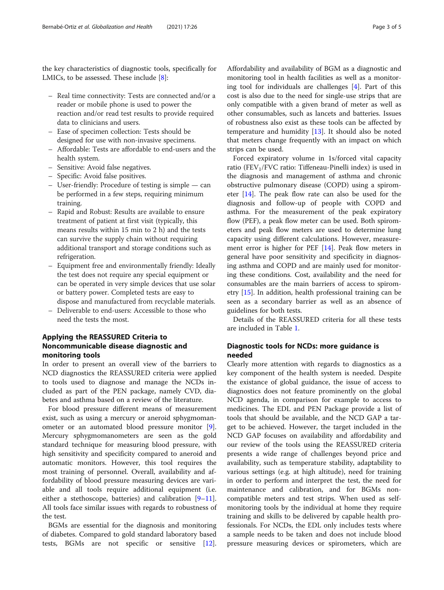the key characteristics of diagnostic tools, specifically for LMICs, to be assessed. These include [[8\]](#page-3-0):

- Real time connectivity: Tests are connected and/or a reader or mobile phone is used to power the reaction and/or read test results to provide required data to clinicians and users.
- Ease of specimen collection: Tests should be designed for use with non-invasive specimens.
- Affordable: Tests are affordable to end-users and the health system.
- Sensitive: Avoid false negatives.
- Specific: Avoid false positives.
- User-friendly: Procedure of testing is simple can be performed in a few steps, requiring minimum training.
- Rapid and Robust: Results are available to ensure treatment of patient at first visit (typically, this means results within 15 min to 2 h) and the tests can survive the supply chain without requiring additional transport and storage conditions such as refrigeration.
- Equipment free and environmentally friendly: Ideally the test does not require any special equipment or can be operated in very simple devices that use solar or battery power. Completed tests are easy to dispose and manufactured from recyclable materials.
- Deliverable to end-users: Accessible to those who need the tests the most.

# Applying the REASSURED Criteria to Noncommunicable disease diagnostic and monitoring tools

In order to present an overall view of the barriers to NCD diagnostics the REASSURED criteria were applied to tools used to diagnose and manage the NCDs included as part of the PEN package, namely CVD, diabetes and asthma based on a review of the literature.

For blood pressure different means of measurement exist, such as using a mercury or aneroid sphygmomanometer or an automated blood pressure monitor [\[9](#page-3-0)]. Mercury sphygmomanometers are seen as the gold standard technique for measuring blood pressure, with high sensitivity and specificity compared to aneroid and automatic monitors. However, this tool requires the most training of personnel. Overall, availability and affordability of blood pressure measuring devices are variable and all tools require additional equipment (i.e. either a stethoscope, batteries) and calibration  $[9-11]$  $[9-11]$  $[9-11]$  $[9-11]$  $[9-11]$ . All tools face similar issues with regards to robustness of the test.

BGMs are essential for the diagnosis and monitoring of diabetes. Compared to gold standard laboratory based tests, BGMs are not specific or sensitive [\[12](#page-4-0)].

Affordability and availability of BGM as a diagnostic and monitoring tool in health facilities as well as a monitoring tool for individuals are challenges [[4\]](#page-3-0). Part of this cost is also due to the need for single-use strips that are only compatible with a given brand of meter as well as other consumables, such as lancets and batteries. Issues of robustness also exist as these tools can be affected by temperature and humidity [\[13](#page-4-0)]. It should also be noted that meters change frequently with an impact on which strips can be used.

Forced expiratory volume in 1s/forced vital capacity ratio (FEV<sub>1</sub>/FVC ratio: Tiffeneau-Pinelli index) is used in the diagnosis and management of asthma and chronic obstructive pulmonary disease (COPD) using a spirometer [[14\]](#page-4-0). The peak flow rate can also be used for the diagnosis and follow-up of people with COPD and asthma. For the measurement of the peak expiratory flow (PEF), a peak flow meter can be used. Both spirometers and peak flow meters are used to determine lung capacity using different calculations. However, measurement error is higher for PEF [[14](#page-4-0)]. Peak flow meters in general have poor sensitivity and specificity in diagnosing asthma and COPD and are mainly used for monitoring these conditions. Cost, availability and the need for consumables are the main barriers of access to spirometry [[15\]](#page-4-0). In addition, health professional training can be seen as a secondary barrier as well as an absence of guidelines for both tests.

Details of the REASSURED criteria for all these tests are included in Table [1.](#page-1-0)

# Diagnostic tools for NCDs: more guidance is needed

Clearly more attention with regards to diagnostics as a key component of the health system is needed. Despite the existance of global guidance, the issue of access to diagnostics does not feature prominently on the global NCD agenda, in comparison for example to access to medicines. The EDL and PEN Package provide a list of tools that should be available, and the NCD GAP a target to be achieved. However, the target included in the NCD GAP focuses on availability and affordability and our review of the tools using the REASSURED criteria presents a wide range of challenges beyond price and availability, such as temperature stability, adaptability to various settings (e.g. at high altitude), need for training in order to perform and interpret the test, the need for maintenance and calibration, and for BGMs noncompatible meters and test strips. When used as selfmonitoring tools by the individual at home they require training and skills to be delivered by capable health professionals. For NCDs, the EDL only includes tests where a sample needs to be taken and does not include blood pressure measuring devices or spirometers, which are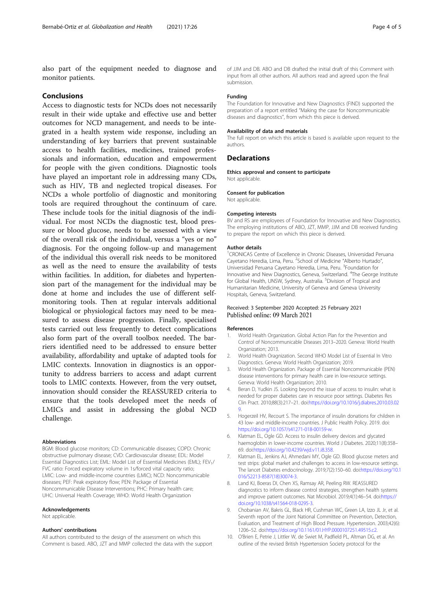<span id="page-3-0"></span>also part of the equipment needed to diagnose and monitor patients.

#### Conclusions

Access to diagnostic tests for NCDs does not necessarily result in their wide uptake and effective use and better outcomes for NCD management, and needs to be integrated in a health system wide response, including an understanding of key barriers that prevent sustainable access to health facilities, medicines, trained professionals and information, education and empowerment for people with the given conditions. Diagnostic tools have played an important role in addressing many CDs, such as HIV, TB and neglected tropical diseases. For NCDs a whole portfolio of diagnostic and monitoring tools are required throughout the continuum of care. These include tools for the initial diagnosis of the individual. For most NCDs the diagnostic test, blood pressure or blood glucose, needs to be assessed with a view of the overall risk of the individual, versus a "yes or no" diagnosis. For the ongoing follow-up and management of the individual this overall risk needs to be monitored as well as the need to ensure the availability of tests within facilities. In addition, for diabetes and hypertension part of the management for the individual may be done at home and includes the use of different selfmonitoring tools. Then at regular intervals additional biological or physiological factors may need to be measured to assess disease progression. Finally, specialised tests carried out less frequently to detect complications also form part of the overall toolbox needed. The barriers identified need to be addressed to ensure better availability, affordability and uptake of adapted tools for LMIC contexts. Innovation in diagnostics is an opportunity to address barriers to access and adapt current tools to LMIC contexts. However, from the very outset, innovation should consider the REASSURED criteria to ensure that the tools developed meet the needs of LMICs and assist in addressing the global NCD challenge.

#### Abbreviations

BGM: Blood glucose monitors; CD: Communicable diseases; COPD: Chronic obstructive pulmonary disease; CVD: Cardiovascular disease; EDL: Model Essential Diagnostics List; EML: Model List of Essential Medicines (EML); FEV<sub>1</sub>/ FVC ratio: Forced expiratory volume in 1s/forced vital capacity ratio; LMIC: Low- and middle-income countries (LMIC); NCD: Noncommunicable diseases; PEF: Peak expiratory flow; PEN: Package of Essential Noncommunicable Disease Interventions; PHC: Primary health care; UHC: Universal Health Coverage; WHO: World Health Organization

#### Acknowledgements

Not applicable.

#### Authors' contributions

All authors contributed to the design of the assessment on which this Comment is based. ABO, JZT and MMP collected the data with the support of JJM and DB. ABO and DB drafted the initial draft of this Comment with input from all other authors. All authors read and agreed upon the final submission.

#### Funding

The Foundation for Innovative and New Diagnostics (FIND) supported the preparation of a report entitled "Making the case for Noncommunicable diseases and diagnostics", from which this piece is derived.

#### Availability of data and materials

The full report on which this article is based is available upon request to the authors.

## **Declarations**

Ethics approval and consent to participate Not applicable.

#### Consent for publication

Not applicable.

#### Competing interests

BV and RS are employees of Foundation for Innovative and New Diagnostics. The employing institutions of ABO, JZT, MMP, JJM and DB received funding to prepare the report on which this piece is derived.

#### Author details

<sup>1</sup> CRONICAS Centre of Excellence in Chronic Diseases, Universidad Peruana Cayetano Heredia, Lima, Peru. <sup>2</sup>School of Medicine "Alberto Hurtado", Universidad Peruana Cayetano Heredia, Lima, Peru. <sup>3</sup>Foundation for Innovative and New Diagnostics, Geneva, Switzerland. <sup>4</sup>The George Institute for Global Health, UNSW, Sydney, Australia. <sup>5</sup>Division of Tropical and Humanitarian Medicine, University of Geneva and Geneva University Hospitals, Geneva, Switzerland.

### Received: 3 September 2020 Accepted: 25 February 2021 Published online: 09 March 2021

#### References

- 1. World Health Organization. Global Action Plan for the Prevention and Control of Noncommunicable Diseases 2013–2020. Geneva: World Health Organization; 2013.
- 2. World Health Oragnization. Second WHO Model List of Essential In Vitro Diagnostics. Geneva: World Health Organization; 2019.
- 3. World Health Organization. Package of Essential Noncommunicable (PEN) disease interventions for primary health care in low-resource settings. Geneva: World Health Organization; 2010.
- 4. Beran D, Yudkin JS. Looking beyond the issue of access to insulin: what is needed for proper diabetes care in resource poor settings. Diabetes Res Clin Pract. 2010;88(3):217–21. doi[:https://doi.org/10.1016/j.diabres.2010.03.02](https://doi.org/10.1016/j.diabres.2010.03.029) [9](https://doi.org/10.1016/j.diabres.2010.03.029).
- 5. Hogerzeil HV, Recourt S. The importance of insulin donations for children in 43 low- and middle-income countries. J Public Health Policy. 2019. doi: <https://doi.org/10.1057/s41271-018-00159-w>.
- 6. Klatman EL, Ogle GD. Access to insulin delivery devices and glycated haemoglobin in lower-income countries. World J Diabetes. 2020;11(8):358– 69. doi[:https://doi.org/10.4239/wjd.v11.i8.358.](https://doi.org/10.4239/wjd.v11.i8.358)
- 7. Klatman EL, Jenkins AJ, Ahmedani MY, Ogle GD. Blood glucose meters and test strips: global market and challenges to access in low-resource settings. The lancet Diabetes endocrinology. 2019;7(2):150–60. doi:[https://doi.org/10.1](https://doi.org/10.1016/S2213-8587(18)30074-3) [016/S2213-8587\(18\)30074-3](https://doi.org/10.1016/S2213-8587(18)30074-3).
- Land KJ, Boeras DI, Chen XS, Ramsay AR, Peeling RW. REASSURED diagnostics to inform disease control strategies, strengthen health systems and improve patient outcomes. Nat Microbiol. 2019;4(1):46–54. doi:[https://](https://doi.org/10.1038/s41564-018-0295-3) [doi.org/10.1038/s41564-018-0295-3.](https://doi.org/10.1038/s41564-018-0295-3)
- 9. Chobanian AV, Bakris GL, Black HR, Cushman WC, Green LA, Izzo JL Jr, et al. Seventh report of the Joint National Committee on Prevention, Detection, Evaluation, and Treatment of High Blood Pressure. Hypertension. 2003;42(6): 1206–52. doi[:https://doi.org/10.1161/01.HYP.0000107251.49515.c2](https://doi.org/10.1161/01.HYP.0000107251.49515.c2).
- 10. O'Brien E, Petrie J, Littler W, de Swiet M, Padfield PL, Altman DG, et al. An outline of the revised British Hypertension Society protocol for the